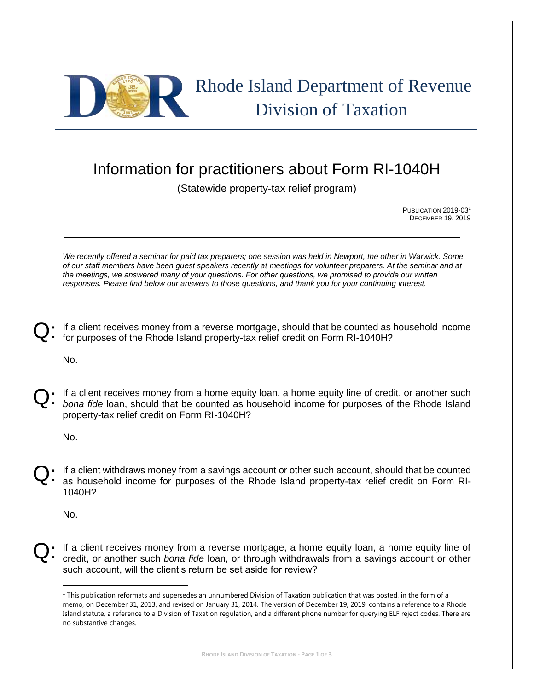

## Information for practitioners about Form RI-1040H

(Statewide property-tax relief program)

PUBLICATION 2019-03<sup>1</sup> DECEMBER 19, 2019

*We recently offered a seminar for paid tax preparers; one session was held in Newport, the other in Warwick. Some of our staff members have been guest speakers recently at meetings for volunteer preparers. At the seminar and at the meetings, we answered many of your questions. For other questions, we promised to provide our written responses. Please find below our answers to those questions, and thank you for your continuing interest.*

If a client receives money from a reverse mortgage, should that be counted as household income for purposes of the Rhode Island property-tax relief credit on Form RI-1040H? Q:

No.

If a client receives money from a home equity loan, a home equity line of credit, or another such *bona fide* loan, should that be counted as household income for purposes of the Rhode Island property-tax relief credit on Form RI-1040H? Q:

No.

If a client withdraws money from a savings account or other such account, should that be counted as household income for purposes of the Rhode Island property-tax relief credit on Form RI-1040H? Q:

No.

 $\overline{a}$ 

If a client receives money from a reverse mortgage, a home equity loan, a home equity line of credit, or another such *bona fide* loan, or through withdrawals from a savings account or other such account, will the client's return be set aside for review? Q:

 $1$  This publication reformats and supersedes an unnumbered Division of Taxation publication that was posted, in the form of a memo, on December 31, 2013, and revised on January 31, 2014. The version of December 19, 2019, contains a reference to a Rhode Island statute, a reference to a Division of Taxation regulation, and a different phone number for querying ELF reject codes. There are no substantive changes.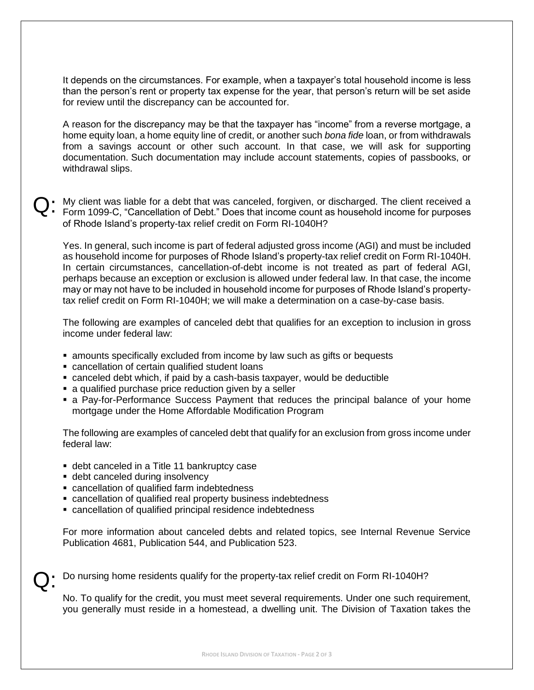It depends on the circumstances. For example, when a taxpayer's total household income is less than the person's rent or property tax expense for the year, that person's return will be set aside for review until the discrepancy can be accounted for.

A reason for the discrepancy may be that the taxpayer has "income" from a reverse mortgage, a home equity loan, a home equity line of credit, or another such *bona fide* loan, or from withdrawals from a savings account or other such account. In that case, we will ask for supporting documentation. Such documentation may include account statements, copies of passbooks, or withdrawal slips.

Q: My client was liable for a debt that was canceled, forgiven, or discharged. The client received a Form 1099-C, "Cancellation of Debt." Does that income count as household income for purposes Form 1099-C, "Cancellation of Debt." Does that income count as household income for purposes of Rhode Island's property-tax relief credit on Form RI-1040H?

Yes. In general, such income is part of federal adjusted gross income (AGI) and must be included as household income for purposes of Rhode Island's property-tax relief credit on Form RI-1040H. In certain circumstances, cancellation-of-debt income is not treated as part of federal AGI, perhaps because an exception or exclusion is allowed under federal law. In that case, the income may or may not have to be included in household income for purposes of Rhode Island's propertytax relief credit on Form RI-1040H; we will make a determination on a case-by-case basis.

The following are examples of canceled debt that qualifies for an exception to inclusion in gross income under federal law:

- **E** amounts specifically excluded from income by law such as gifts or bequests
- cancellation of certain qualified student loans
- canceled debt which, if paid by a cash-basis taxpayer, would be deductible
- a qualified purchase price reduction given by a seller
- **Example 2** a Pay-for-Performance Success Payment that reduces the principal balance of your home mortgage under the Home Affordable Modification Program

The following are examples of canceled debt that qualify for an exclusion from gross income under federal law:

- **debt canceled in a Title 11 bankruptcy case**
- **debt canceled during insolvency**
- cancellation of qualified farm indebtedness
- cancellation of qualified real property business indebtedness
- cancellation of qualified principal residence indebtedness

For more information about canceled debts and related topics, see Internal Revenue Service Publication 4681, Publication 544, and Publication 523.

Do nursing home residents qualify for the property-tax relief credit on Form RI-1040H? Q:

No. To qualify for the credit, you must meet several requirements. Under one such requirement, you generally must reside in a homestead, a dwelling unit. The Division of Taxation takes the